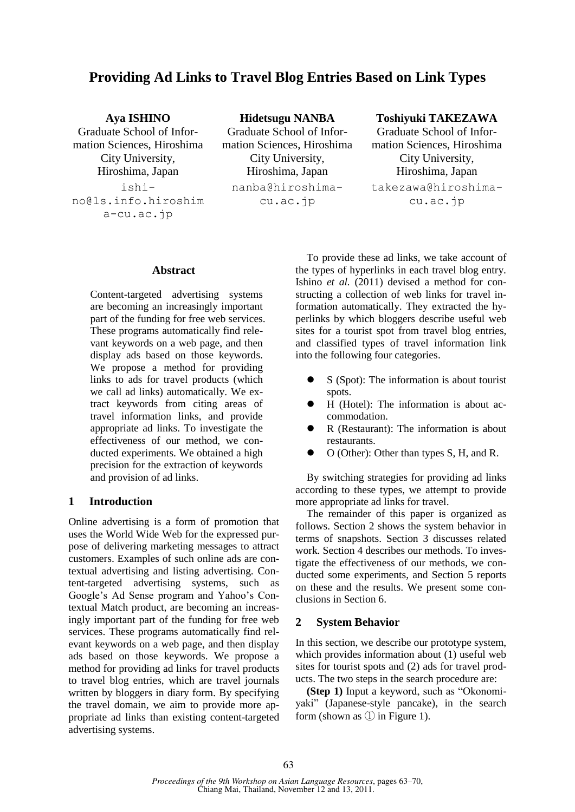# **Providing Ad Links to Travel Blog Entries Based on Link Types**

# **Aya ISHINO**

Graduate School of Information Sciences, Hiroshima City University, Hiroshima, Japan ishino@ls.info.hiroshim a-cu.ac.jp

**Hidetsugu NANBA** Graduate School of Information Sciences, Hiroshima City University, Hiroshima, Japan nanba@hiroshimacu.ac.jp

# **Toshiyuki TAKEZAWA**

Graduate School of Information Sciences, Hiroshima City University, Hiroshima, Japan takezawa@hiroshimacu.ac.jp

# **Abstract**

Content-targeted advertising systems are becoming an increasingly important part of the funding for free web services. These programs automatically find relevant keywords on a web page, and then display ads based on those keywords. We propose a method for providing links to ads for travel products (which we call ad links) automatically. We extract keywords from citing areas of travel information links, and provide appropriate ad links. To investigate the effectiveness of our method, we conducted experiments. We obtained a high precision for the extraction of keywords and provision of ad links.

# **1 Introduction**

Online advertising is a form of promotion that uses the World Wide Web for the expressed purpose of delivering marketing messages to attract customers. Examples of such online ads are contextual advertising and listing advertising. Content-targeted advertising systems, such as Google's Ad Sense program and Yahoo's Contextual Match product, are becoming an increasingly important part of the funding for free web services. These programs automatically find relevant keywords on a web page, and then display ads based on those keywords. We propose a method for providing ad links for travel products to travel blog entries, which are travel journals written by bloggers in diary form. By specifying the travel domain, we aim to provide more appropriate ad links than existing content-targeted advertising systems.

To provide these ad links, we take account of the types of hyperlinks in each travel blog entry. Ishino *et al.* (2011) devised a method for constructing a collection of web links for travel information automatically. They extracted the hyperlinks by which bloggers describe useful web sites for a tourist spot from travel blog entries, and classified types of travel information link into the following four categories.

- S (Spot): The information is about tourist spots.
- H (Hotel): The information is about accommodation.
- R (Restaurant): The information is about restaurants.
- O (Other): Other than types S, H, and R.

By switching strategies for providing ad links according to these types, we attempt to provide more appropriate ad links for travel.

The remainder of this paper is organized as follows. Section 2 shows the system behavior in terms of snapshots. Section 3 discusses related work. Section 4 describes our methods. To investigate the effectiveness of our methods, we conducted some experiments, and Section 5 reports on these and the results. We present some conclusions in Section 6.

# **2 System Behavior**

In this section, we describe our prototype system, which provides information about (1) useful web sites for tourist spots and (2) ads for travel products. The two steps in the search procedure are:

**(Step 1)** Input a keyword, such as "Okonomiyaki" (Japanese-style pancake), in the search form (shown as ① in Figure 1).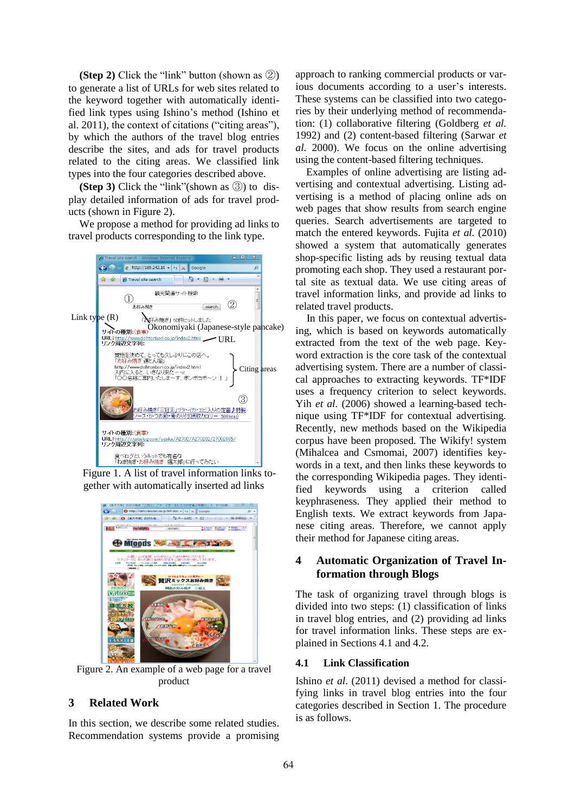**(Step 2)** Click the "link" button (shown as ②) to generate a list of URLs for web sites related to the keyword together with automatically identified link types using Ishino's method (Ishino et al. 2011), the context of citations ("citing areas"), by which the authors of the travel blog entries describe the sites, and ads for travel products related to the citing areas. We classified link types into the four categories described above.

**(Step 3)** Click the "link"(shown as ③) to display detailed information of ads for travel products (shown in Figure 2).

We propose a method for providing ad links to travel products corresponding to the link type.



Figure 1. A list of travel information links together with automatically inserted ad links



Figure 2. An example of a web page for a travel product

# **3 Related Work**

In this section, we describe some related studies. Recommendation systems provide a promising

approach to ranking commercial products or various documents according to a user's interests. These systems can be classified into two categories by their underlying method of recommendation: (1) collaborative filtering (Goldberg *et al.* 1992) and (2) content-based filtering (Sarwar *et al.* 2000). We focus on the online advertising using the content-based filtering techniques.

Examples of online advertising are listing advertising and contextual advertising. Listing advertising is a method of placing online ads on web pages that show results from search engine queries. Search advertisements are targeted to match the entered keywords. Fujita *et al.* (2010) showed a system that automatically generates shop-specific listing ads by reusing textual data promoting each shop. They used a restaurant portal site as textual data. We use citing areas of travel information links, and provide ad links to related travel products.

In this paper, we focus on contextual advertising, which is based on keywords automatically extracted from the text of the web page. Keyword extraction is the core task of the contextual advertising system. There are a number of classical approaches to extracting keywords. TF\*IDF uses a frequency criterion to select keywords. Yih *et al.* (2006) showed a learning-based technique using TF\*IDF for contextual advertising. Recently, new methods based on the Wikipedia corpus have been proposed. The Wikify! system (Mihalcea and Csmomai, 2007) identifies keywords in a text, and then links these keywords to the corresponding Wikipedia pages. They identified keywords using a criterion called keyphraseness. They applied their method to English texts. We extract keywords from Japanese citing areas. Therefore, we cannot apply their method for Japanese citing areas.

# **4 Automatic Organization of Travel Information through Blogs**

The task of organizing travel through blogs is divided into two steps: (1) classification of links in travel blog entries, and (2) providing ad links for travel information links. These steps are explained in Sections 4.1 and 4.2.

#### **4.1 Link Classification**

Ishino *et al*. (2011) devised a method for classifying links in travel blog entries into the four categories described in Section 1. The procedure is as follows.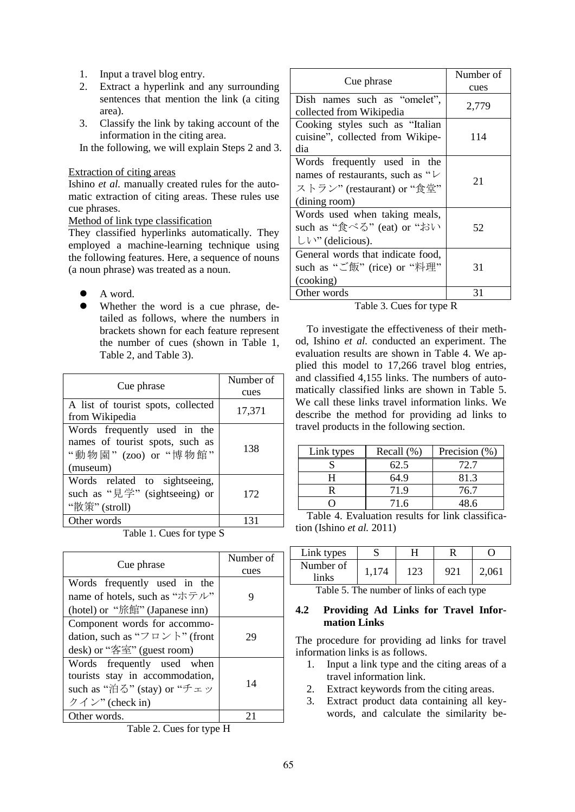- 1. Input a travel blog entry.
- 2. Extract a hyperlink and any surrounding sentences that mention the link (a citing area).
- 3. Classify the link by taking account of the information in the citing area.

In the following, we will explain Steps 2 and 3.

### Extraction of citing areas

Ishino *et al.* manually created rules for the automatic extraction of citing areas. These rules use cue phrases.

# Method of link type classification

They classified hyperlinks automatically. They employed a machine-learning technique using the following features. Here, a sequence of nouns (a noun phrase) was treated as a noun.

- A word.
- Whether the word is a cue phrase, detailed as follows, where the numbers in brackets shown for each feature represent the number of cues (shown in Table 1, Table 2, and Table 3).

| Cue phrase                                                                                          | Number of<br>cues |
|-----------------------------------------------------------------------------------------------------|-------------------|
| A list of tourist spots, collected<br>from Wikipedia                                                | 17,371            |
| Words frequently used in the<br>names of tourist spots, such as<br>"動物園" (zoo) or "博物館"<br>(museum) | 138               |
| Words related to sightseeing,<br>such as "見学" (sightseeing) or<br>"散策" (stroll)                     | 172               |
| Other words                                                                                         | 131               |

Table 1. Cues for type S

| Cue phrase                                                    | Number of<br>cues |
|---------------------------------------------------------------|-------------------|
| Words frequently used in the                                  |                   |
| name of hotels, such as "ホテル"                                 | 9                 |
| (hotel) or "旅館" (Japanese inn)                                |                   |
| Component words for accommo-                                  |                   |
| dation, such as " $\mathcal{P} \square \mathcal{P}$ \" (front | 29                |
| desk) or "客室" (guest room)                                    |                   |
| Words frequently used when                                    |                   |
| tourists stay in accommodation,                               | 14                |
| such as "泊る" (stay) or "チェッ                                   |                   |
| クイン" (check in)                                               |                   |
| Other words.                                                  | 21                |

Table 2. Cues for type H

| Cue phrase                                                                                                            | Number of<br>cues |  |
|-----------------------------------------------------------------------------------------------------------------------|-------------------|--|
| Dish names such as "omelet",<br>collected from Wikipedia                                                              | 2,779             |  |
| Cooking styles such as "Italian"<br>cuisine", collected from Wikipe-<br>dia                                           | 114               |  |
| Words frequently used in the<br>names of restaurants, such as " $\vee$<br>ストラン" (restaurant) or "食堂"<br>(dining room) | 21                |  |
| Words used when taking meals,<br>such as "食べる" (eat) or "おい<br>$UV''$ (delicious).                                    | 52                |  |
| General words that indicate food,<br>such as "ご飯" (rice) or "料理"<br>(cooking)                                         | 31                |  |
| Other words                                                                                                           | 31                |  |

Table 3. Cues for type R

To investigate the effectiveness of their method, Ishino *et al.* conducted an experiment. The evaluation results are shown in Table 4. We applied this model to 17,266 travel blog entries, and classified 4,155 links. The numbers of automatically classified links are shown in Table 5. We call these links travel information links. We describe the method for providing ad links to travel products in the following section.

| Link types | Recall $(\%)$ | Precision (%) |
|------------|---------------|---------------|
|            | 62.5          | 72.7          |
|            | 64.9          | 81.3          |
|            | 71.9          | 76.7          |
|            | 71.6          | 48.6          |

Table 4. Evaluation results for link classification (Ishino *et al.* 2011)

| Link types |             |    |       |
|------------|-------------|----|-------|
| Number of  | $\cdot$ 174 | 92 | 2,061 |
| links      |             |    |       |

Table 5. The number of links of each type

# **4.2 Providing Ad Links for Travel Information Links**

The procedure for providing ad links for travel information links is as follows.

- 1. Input a link type and the citing areas of a travel information link.
- 2. Extract keywords from the citing areas.
- 3. Extract product data containing all keywords, and calculate the similarity be-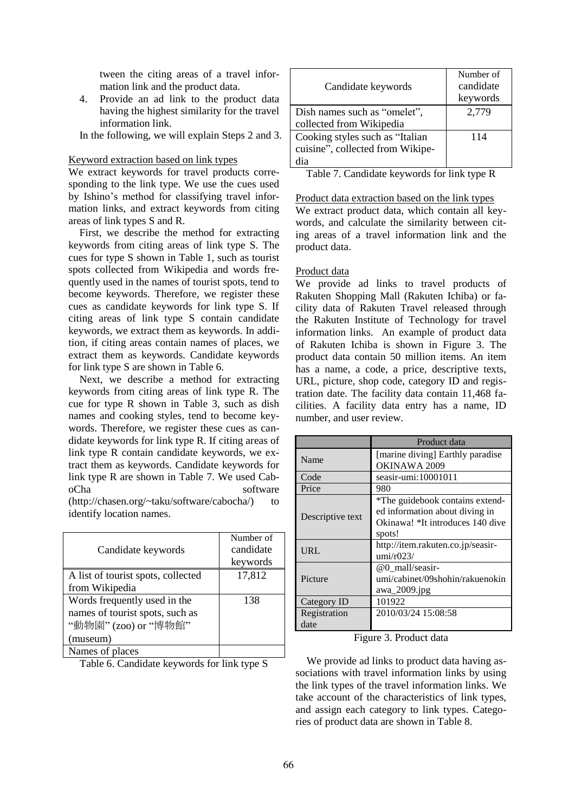tween the citing areas of a travel information link and the product data.

- 4. Provide an ad link to the product data having the highest similarity for the travel information link.
- In the following, we will explain Steps 2 and 3.

#### Keyword extraction based on link types

We extract keywords for travel products corresponding to the link type. We use the cues used by Ishino's method for classifying travel information links, and extract keywords from citing areas of link types S and R.

First, we describe the method for extracting keywords from citing areas of link type S. The cues for type S shown in Table 1, such as tourist spots collected from Wikipedia and words frequently used in the names of tourist spots, tend to become keywords. Therefore, we register these cues as candidate keywords for link type S. If citing areas of link type S contain candidate keywords, we extract them as keywords. In addition, if citing areas contain names of places, we extract them as keywords. Candidate keywords for link type S are shown in Table 6.

Next, we describe a method for extracting keywords from citing areas of link type R. The cue for type R shown in Table 3, such as dish names and cooking styles, tend to become keywords. Therefore, we register these cues as candidate keywords for link type R. If citing areas of link type R contain candidate keywords, we extract them as keywords. Candidate keywords for link type R are shown in Table 7. We used CaboCha software

(http://chasen.org/~taku/software/cabocha/) to identify location names.

| Candidate keywords                                                                                  | Number of<br>candidate<br>keywords |
|-----------------------------------------------------------------------------------------------------|------------------------------------|
| A list of tourist spots, collected<br>from Wikipedia                                                | 17,812                             |
| Words frequently used in the<br>names of tourist spots, such as<br>"動物園" (zoo) or "博物館"<br>(museum) | 138                                |
| Names of places                                                                                     |                                    |

Table 6. Candidate keywords for link type S

| Candidate keywords               | Number of<br>candidate<br>keywords |
|----------------------------------|------------------------------------|
| Dish names such as "omelet",     | 2,779                              |
| collected from Wikipedia         |                                    |
| Cooking styles such as "Italian" | 114                                |
| cuisine", collected from Wikipe- |                                    |
| dia                              |                                    |

Table 7. Candidate keywords for link type R

Product data extraction based on the link types We extract product data, which contain all key-

words, and calculate the similarity between citing areas of a travel information link and the product data.

# Product data

We provide ad links to travel products of Rakuten Shopping Mall (Rakuten Ichiba) or facility data of Rakuten Travel released through the Rakuten Institute of Technology for travel information links. An example of product data of Rakuten Ichiba is shown in Figure 3. The product data contain 50 million items. An item has a name, a code, a price, descriptive texts, URL, picture, shop code, category ID and registration date. The facility data contain 11,468 facilities. A facility data entry has a name, ID number, and user review.

|                      | Product data                                                                                                    |  |
|----------------------|-----------------------------------------------------------------------------------------------------------------|--|
| Name                 | [marine diving] Earthly paradise<br>OKINAWA 2009                                                                |  |
| Code                 | seasir-umi:10001011                                                                                             |  |
| Price                | 980                                                                                                             |  |
| Descriptive text     | *The guidebook contains extend-<br>ed information about diving in<br>Okinawa! *It introduces 140 dive<br>spots! |  |
| URL                  | http://item.rakuten.co.jp/seasir-<br>umi/r023/                                                                  |  |
| Picture              | @0 mall/seasir-<br>umi/cabinet/09shohin/rakuenokin<br>awa_2009.jpg                                              |  |
| Category ID          | 101922                                                                                                          |  |
| Registration<br>date | 2010/03/24 15:08:58                                                                                             |  |

#### Figure 3. Product data

We provide ad links to product data having associations with travel information links by using the link types of the travel information links. We take account of the characteristics of link types, and assign each category to link types. Categories of product data are shown in Table 8.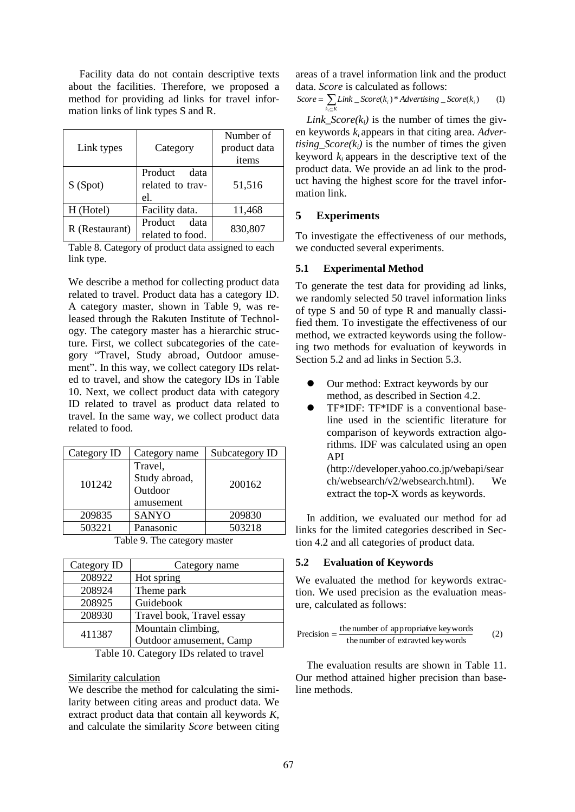Facility data do not contain descriptive texts about the facilities. Therefore, we proposed a method for providing ad links for travel information links of link types S and R.

| Link types     | Category                                   | Number of<br>product data<br>items |
|----------------|--------------------------------------------|------------------------------------|
| S(Spot)        | Product<br>data<br>related to trav-<br>el. | 51,516                             |
| H (Hotel)      | Facility data.                             | 11,468                             |
| R (Restaurant) | Product<br>data<br>related to food.        | 830,807                            |

Table 8. Category of product data assigned to each link type.

We describe a method for collecting product data related to travel. Product data has a category ID. A category master, shown in Table 9, was released through the Rakuten Institute of Technology. The category master has a hierarchic structure. First, we collect subcategories of the category "Travel, Study abroad, Outdoor amusement". In this way, we collect category IDs related to travel, and show the category IDs in Table 10. Next, we collect product data with category ID related to travel as product data related to travel. In the same way, we collect product data related to food.

| Category name                                    | Subcategory ID |
|--------------------------------------------------|----------------|
| Travel,<br>Study abroad,<br>Outdoor<br>amusement | 200162         |
| <b>SANYO</b>                                     | 209830         |
| Panasonic                                        | 503218         |
|                                                  |                |

Table 9. The category master

| Category ID | Category name             |
|-------------|---------------------------|
| 208922      | Hot spring                |
| 208924      | Theme park                |
| 208925      | Guidebook                 |
| 208930      | Travel book, Travel essay |
| 411387      | Mountain climbing,        |
|             | Outdoor amusement, Camp   |

Table 10. Category IDs related to travel

#### Similarity calculation

We describe the method for calculating the similarity between citing areas and product data. We extract product data that contain all keywords *K*, and calculate the similarity *Score* between citing areas of a travel information link and the product data. *Score* is calculated as follows:

$$
Score = \sum_{k_i \subseteq K} Link\_Score(k_i) * Adverting\_Score(k_i)
$$
 (1)

*Link\_Score(k<sub>i</sub>)* is the number of times the given keywords *ki* appears in that citing area. *Advertising*  $Score(k_i)$  is the number of times the given keyword  $k_i$  appears in the descriptive text of the product data. We provide an ad link to the product having the highest score for the travel information link.

# **5 Experiments**

To investigate the effectiveness of our methods, we conducted several experiments.

# **5.1 Experimental Method**

To generate the test data for providing ad links, we randomly selected 50 travel information links of type S and 50 of type R and manually classified them. To investigate the effectiveness of our method, we extracted keywords using the following two methods for evaluation of keywords in Section 5.2 and ad links in Section 5.3.

- Our method: Extract keywords by our method, as described in Section 4.2.
- TF\*IDF: TF\*IDF is a conventional baseline used in the scientific literature for comparison of keywords extraction algorithms. IDF was calculated using an open API

(http://developer.yahoo.co.jp/webapi/sear ch/websearch/v2/websearch.html). We extract the top-X words as keywords.

In addition, we evaluated our method for ad links for the limited categories described in Section 4.2 and all categories of product data.

# **5.2 Evaluation of Keywords**

We evaluated the method for keywords extraction. We used precision as the evaluation measure, calculated as follows:

$$
Precision = \frac{the number of appropriate key words}{the number of extracted key words}
$$
 (2)

The evaluation results are shown in Table 11. Our method attained higher precision than baseline methods.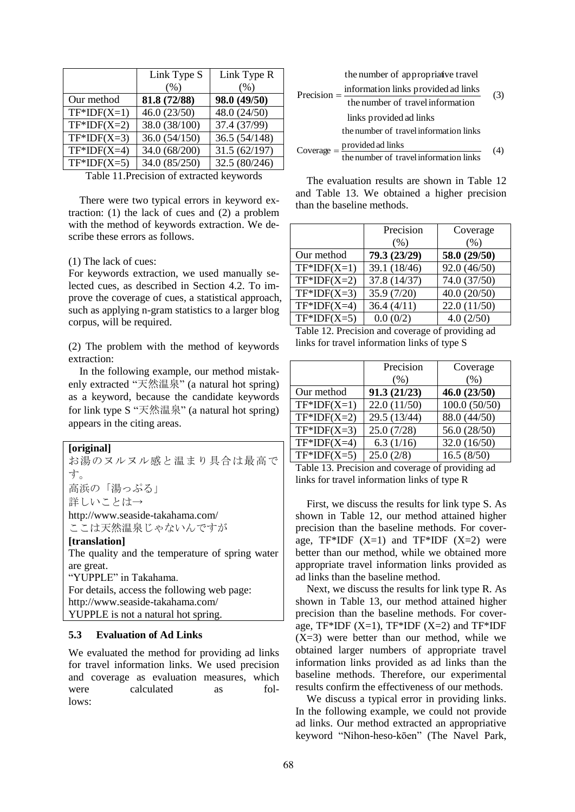|               | Link Type S   | Link Type R   |
|---------------|---------------|---------------|
|               | (% )          | (% )          |
| Our method    | 81.8 (72/88)  | 98.0 (49/50)  |
| $TF*IDF(X=1)$ | 46.0(23/50)   | 48.0 (24/50)  |
| $TF*IDF(X=2)$ | 38.0 (38/100) | 37.4 (37/99)  |
| $TF*IDF(X=3)$ | 36.0(54/150)  | 36.5(54/148)  |
| $TF*IDF(X=4)$ | 34.0 (68/200) | 31.5(62/197)  |
| $TF*IDF(X=5)$ | 34.0 (85/250) | 32.5 (80/246) |
|               |               |               |

Table 11.Precision of extracted keywords

There were two typical errors in keyword extraction: (1) the lack of cues and (2) a problem with the method of keywords extraction. We describe these errors as follows.

#### (1) The lack of cues:

For keywords extraction, we used manually selected cues, as described in Section 4.2. To improve the coverage of cues, a statistical approach, such as applying n-gram statistics to a larger blog corpus, will be required.

(2) The problem with the method of keywords extraction:

In the following example, our method mistakenly extracted "天然温泉" (a natural hot spring) as a keyword, because the candidate keywords for link type S "天然温泉" (a natural hot spring) appears in the citing areas.

# **[original]** お湯のヌルヌル感と温まり具合は最高で す。 高浜の「湯っぷる」 詳しいことは→ http://www.seaside-takahama.com/ ここは天然温泉じゃないんですが **[translation]** The quality and the temperature of spring water are great. "YUPPLE" in Takahama. For details, access the following web page: http://www.seaside-takahama.com/ YUPPLE is not a natural hot spring.

#### **5.3 Evaluation of Ad Links**

We evaluated the method for providing ad links for travel information links. We used precision and coverage as evaluation measures, which were calculated as follows:

the number of appropriative travel

| Precision $=$ | information links provided ad links                                                                  | (3) |
|---------------|------------------------------------------------------------------------------------------------------|-----|
|               | the number of travel information                                                                     |     |
|               | links provided ad links                                                                              |     |
|               | the number of travel information links                                                               |     |
|               | Coverage $=$ $\frac{provided \, ad \, links}{the \, number \, of \, travel \, information \, links}$ | (4) |
|               |                                                                                                      |     |

The evaluation results are shown in Table 12 and Table 13. We obtained a higher precision than the baseline methods.

|               | Precision<br>(% ) | Coverage<br>(% ) |
|---------------|-------------------|------------------|
| Our method    | 79.3 (23/29)      | 58.0 (29/50)     |
| $TF*IDF(X=1)$ | 39.1 (18/46)      | 92.0 (46/50)     |
| $TF*IDF(X=2)$ | 37.8 (14/37)      | 74.0 (37/50)     |
| $TF*IDF(X=3)$ | 35.9(7/20)        | 40.0 (20/50)     |
| $TF*IDF(X=4)$ | 36.4(4/11)        | 22.0(11/50)      |
| $TF*IDF(X=5)$ | 0.0(0/2)          | 4.0(2/50)        |

| Table 12. Precision and coverage of providing ad |
|--------------------------------------------------|
| links for travel information links of type S     |

|               | Precision<br>(% ) | Coverage<br>(% ) |
|---------------|-------------------|------------------|
| Our method    | 91.3(21/23)       | 46.0(23/50)      |
| $TF*IDF(X=1)$ | 22.0(11/50)       | 100.0(50/50)     |
| $TF*IDF(X=2)$ | 29.5 (13/44)      | 88.0 (44/50)     |
| $TF*IDF(X=3)$ | 25.0(7/28)        | 56.0 (28/50)     |
| $TF*IDF(X=4)$ | 6.3(1/16)         | 32.0 (16/50)     |
| $TF*IDF(X=5)$ | 25.0(2/8)         | 16.5(8/50)       |

Table 13. Precision and coverage of providing ad links for travel information links of type R

First, we discuss the results for link type S. As shown in Table 12, our method attained higher precision than the baseline methods. For coverage,  $TF*IDF (X=1)$  and  $TF*IDF (X=2)$  were better than our method, while we obtained more appropriate travel information links provided as ad links than the baseline method.

Next, we discuss the results for link type R. As shown in Table 13, our method attained higher precision than the baseline methods. For coverage,  $TF*IDF (X=1)$ ,  $TF*IDF (X=2)$  and  $TF*IDF$  $(X=3)$  were better than our method, while we obtained larger numbers of appropriate travel information links provided as ad links than the baseline methods. Therefore, our experimental results confirm the effectiveness of our methods.

We discuss a typical error in providing links. In the following example, we could not provide ad links. Our method extracted an appropriative keyword "Nihon-heso-kōen" (The Navel Park,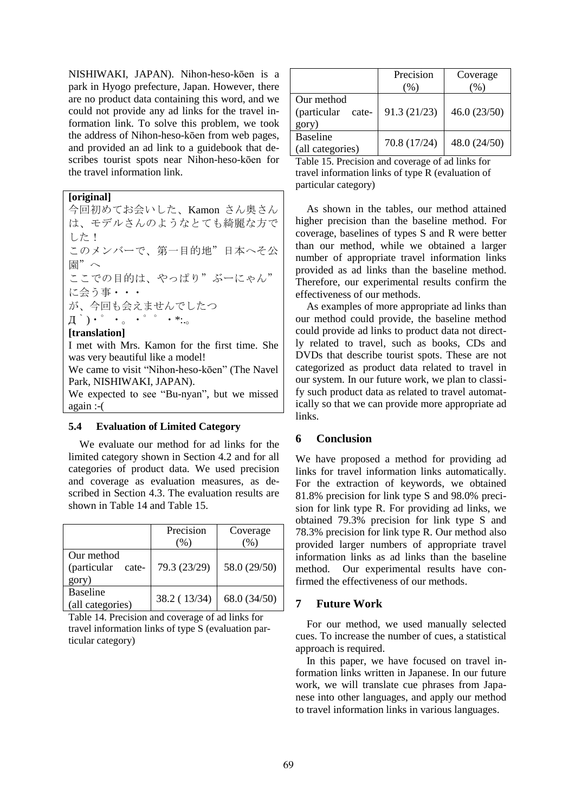NISHIWAKI, JAPAN). Nihon-heso-kōen is a park in Hyogo prefecture, Japan. However, there are no product data containing this word, and we could not provide any ad links for the travel information link. To solve this problem, we took the address of Nihon-heso-kōen from web pages, and provided an ad link to a guidebook that describes tourist spots near Nihon-heso-kōen for the travel information link.

**[original]**

今回初めてお会いした、Kamon さん奥さん は、モデルさんのようなとても綺麗な方で した! このメンバーで、第一目的地"日本へそ公 園"へ ここでの目的は、やっぱり"ぶーにゃん" に会う事・・・ が、今回も会えませんでしたつ Д`)・゜・。・゜゜・\*:.。 **[translation]** I met with Mrs. Kamon for the first time. She was very beautiful like a model! We came to visit "Nihon-heso-kōen" (The Navel Park, NISHIWAKI, JAPAN).

We expected to see "Bu-nyan", but we missed again :-(

#### **5.4 Evaluation of Limited Category**

We evaluate our method for ad links for the limited category shown in Section 4.2 and for all categories of product data. We used precision and coverage as evaluation measures, as described in Section 4.3. The evaluation results are shown in Table 14 and Table 15.

|                                             | Precision    | Coverage<br>$\%$ |
|---------------------------------------------|--------------|------------------|
| Our method<br>(particular<br>cate-<br>gory) | 79.3 (23/29) | 58.0 (29/50)     |
| <b>Baseline</b><br>(all categories)         | 38.2 (13/34) | 68.0 (34/50)     |

Table 14. Precision and coverage of ad links for travel information links of type S (evaluation particular category)

|                                             | Precision<br>(% ) | Coverage<br>(%) |
|---------------------------------------------|-------------------|-----------------|
| Our method<br>(particular<br>cate-<br>gory) | 91.3(21/23)       | 46.0(23/50)     |
| <b>Baseline</b><br>(all categories)         | 70.8 (17/24)      | 48.0 (24/50)    |

Table 15. Precision and coverage of ad links for travel information links of type R (evaluation of particular category)

As shown in the tables, our method attained higher precision than the baseline method. For coverage, baselines of types S and R were better than our method, while we obtained a larger number of appropriate travel information links provided as ad links than the baseline method. Therefore, our experimental results confirm the effectiveness of our methods.

As examples of more appropriate ad links than our method could provide, the baseline method could provide ad links to product data not directly related to travel, such as books, CDs and DVDs that describe tourist spots. These are not categorized as product data related to travel in our system. In our future work, we plan to classify such product data as related to travel automatically so that we can provide more appropriate ad links.

# **6 Conclusion**

We have proposed a method for providing ad links for travel information links automatically. For the extraction of keywords, we obtained 81.8% precision for link type S and 98.0% precision for link type R. For providing ad links, we obtained 79.3% precision for link type S and 78.3% precision for link type R. Our method also provided larger numbers of appropriate travel information links as ad links than the baseline method. Our experimental results have confirmed the effectiveness of our methods.

# **7 Future Work**

For our method, we used manually selected cues. To increase the number of cues, a statistical approach is required.

In this paper, we have focused on travel information links written in Japanese. In our future work, we will translate cue phrases from Japanese into other languages, and apply our method to travel information links in various languages.